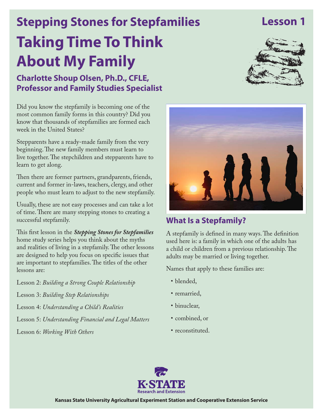## **Lesson 1**

# **Taking Time To Think About My Family Stepping Stones for Stepfamilies**

**Charlotte Shoup Olsen, Ph.D., CFLE, Professor and Family Studies Specialist**



Did you know the stepfamily is becoming one of the most common family forms in this country? Did you know that thousands of stepfamilies are formed each week in the United States?

Stepparents have a ready-made family from the very beginning. The new family members must learn to live together. The stepchildren and stepparents have to learn to get along.

Then there are former partners, grandparents, friends, current and former in-laws, teachers, clergy, and other people who must learn to adjust to the new stepfamily.

Usually, these are not easy processes and can take a lot of time. There are many stepping stones to creating a successful stepfamily.

This first lesson in the *Stepping Stones for Stepfamilies* home study series helps you think about the myths and realities of living in a stepfamily. The other lessons are designed to help you focus on specific issues that are important to stepfamilies. The titles of the other lessons are:

Lesson 2: *Building a Strong Couple Relationship*

- Lesson 3: *Building Step Relationships*
- Lesson 4: *Understanding a Child's Realities*
- Lesson 5: *Understanding Financial and Legal Matters*

Lesson 6: *Working With Others*



#### **What Is a Stepfamily?**

A stepfamily is defined in many ways. The definition used here is: a family in which one of the adults has a child or children from a previous relationship. The adults may be married or living together.

Names that apply to these families are:

- blended,
- remarried,
- binuclear,
- • combined, or
- reconstituted.



**Kansas State University Agricultural Experiment Station and Cooperative Extension Service**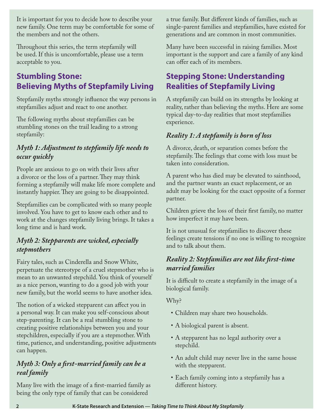It is important for you to decide how to describe your new family. One term may be comfortable for some of the members and not the others.

Throughout this series, the term stepfamily will be used. If this is uncomfortable, please use a term acceptable to you.

## **Stumbling Stone: Believing Myths of Stepfamily Living**

Stepfamily myths strongly influence the way persons in stepfamilies adjust and react to one another.

The following myths about stepfamilies can be stumbling stones on the trail leading to a strong stepfamily:

#### *Myth 1: Adjustment to stepfamily life needs to occur quickly*

People are anxious to go on with their lives after a divorce or the loss of a partner. They may think forming a stepfamily will make life more complete and instantly happier. They are going to be disappointed.

Stepfamilies can be complicated with so many people involved. You have to get to know each other and to work at the changes stepfamily living brings. It takes a long time and is hard work.

#### *Myth 2: Stepparents are wicked, especially stepmothers*

Fairy tales, such as Cinderella and Snow White, perpetuate the stereotype of a cruel stepmother who is mean to an unwanted stepchild. You think of yourself as a nice person, wanting to do a good job with your new family, but the world seems to have another idea.

The notion of a wicked stepparent can affect you in a personal way. It can make you self-conscious about step-parenting. It can be a real stumbling stone to creating positive relationships between you and your stepchildren, especially if you are a stepmother. With time, patience, and understanding, positive adjustments can happen.

#### *Myth 3: Only a first-married family can be a real family*

Many live with the image of a first-married family as being the only type of family that can be considered

a true family. But different kinds of families, such as single-parent families and stepfamilies, have existed for generations and are common in most communities.

Many have been successful in raising families. Most important is the support and care a family of any kind can offer each of its members.

### **Stepping Stone: Understanding Realities of Stepfamily Living**

A stepfamily can build on its strengths by looking at reality, rather than believing the myths. Here are some typical day-to-day realities that most stepfamilies experience.

#### *Reality 1: A stepfamily is born of loss*

A divorce, death, or separation comes before the stepfamily. The feelings that come with loss must be taken into consideration.

A parent who has died may be elevated to sainthood, and the partner wants an exact replacement, or an adult may be looking for the exact opposite of a former partner.

Children grieve the loss of their first family, no matter how imperfect it may have been.

It is not unusual for stepfamilies to discover these feelings create tensions if no one is willing to recognize and to talk about them.

#### *Reality 2: Stepfamilies are not like first-time married families*

It is difficult to create a stepfamily in the image of a biological family.

Why?

- • Children may share two households.
- • A biological parent is absent.
- A stepparent has no legal authority over a stepchild.
- An adult child may never live in the same house with the stepparent.
- • Each family coming into a stepfamily has a different history.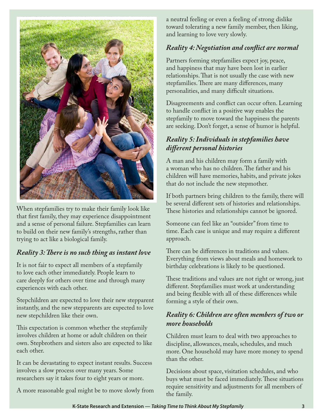

When stepfamilies try to make their family look like that first family, they may experience disappointment and a sense of personal failure. Stepfamilies can learn to build on their new family's strengths, rather than trying to act like a biological family.

#### *Reality 3: There is no such thing as instant love*

It is not fair to expect all members of a stepfamily to love each other immediately. People learn to care deeply for others over time and through many experiences with each other.

Stepchildren are expected to love their new stepparent instantly, and the new stepparents are expected to love new stepchildren like their own.

This expectation is common whether the stepfamily involves children at home or adult children on their own. Stepbrothers and sisters also are expected to like each other.

It can be devastating to expect instant results. Success involves a slow process over many years. Some researchers say it takes four to eight years or more.

A more reasonable goal might be to move slowly from

a neutral feeling or even a feeling of strong dislike toward tolerating a new family member, then liking, and learning to love very slowly.

#### *Reality 4: Negotiation and conflict are normal*

Partners forming stepfamilies expect joy, peace, and happiness that may have been lost in earlier relationships. That is not usually the case with new stepfamilies. There are many differences, many personalities, and many difficult situations.

Disagreements and conflict can occur often. Learning to handle conflict in a positive way enables the stepfamily to move toward the happiness the parents are seeking. Don't forget, a sense of humor is helpful.

#### *Reality 5: Individuals in stepfamilies have different personal histories*

A man and his children may form a family with a woman who has no children. The father and his children will have memories, habits, and private jokes that do not include the new stepmother.

If both partners bring children to the family, there will be several different sets of histories and relationships. These histories and relationships cannot be ignored.

Someone can feel like an "outsider" from time to time. Each case is unique and may require a different approach.

There can be differences in traditions and values. Everything from views about meals and homework to birthday celebrations is likely to be questioned.

These traditions and values are not right or wrong, just different. Stepfamilies must work at understanding and being flexible with all of these differences while forming a style of their own.

#### *Reality 6: Children are often members of two or more households*

Children must learn to deal with two approaches to discipline, allowances, meals, schedules, and much more. One household may have more money to spend than the other.

Decisions about space, visitation schedules, and who buys what must be faced immediately. These situations require sensitivity and adjustments for all members of the family.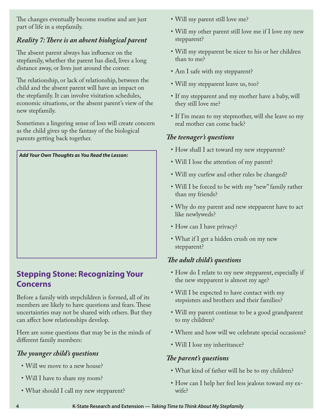The changes eventually become routine and are just part of life in a stepfamily.

#### *Reality 7: There is an absent biological parent*

The absent parent always has influence on the stepfamily, whether the parent has died, lives a long distance away, or lives just around the corner.

The relationship, or lack of relationship, between the child and the absent parent will have an impact on the stepfamily. It can involve visitation schedules, economic situations, or the absent parent's view of the new stepfamily.

Sometimes a lingering sense of loss will create concern as the child gives up the fantasy of the biological parents getting back together.



#### **Stepping Stone: Recognizing Your Concerns**

Before a family with stepchildren is formed, all of its members are likely to have questions and fears. These uncertainties may not be shared with others. But they can affect how relationships develop.

Here are some questions that may be in the minds of different family members:

#### *The younger child's questions*

- • Will we move to a new house?
- Will I have to share my room?
- What should I call my new stepparent?
- Will my parent still love me?
- Will my other parent still love me if I love my new stepparent?
- • Will my stepparent be nicer to his or her children than to me?
- Am I safe with my stepparent?
- • Will my stepparent leave us, too?
- If my stepparent and my mother have a baby, will they still love me?
- If I'm mean to my stepmother, will she leave so my real mother can come back?

#### *The teenager's questions*

- How shall I act toward my new stepparent?
- • Will I lose the attention of my parent?
- • Will my curfew and other rules be changed?
- Will I be forced to be with my "new" family rather than my friends?
- Why do my parent and new stepparent have to act like newlyweds?
- How can I have privacy?
- What if I get a hidden crush on my new stepparent?

#### *The adult child's questions*

- How do I relate to my new stepparent, especially if the new stepparent is almost my age?
- Will I be expected to have contact with my stepsisters and brothers and their families?
- Will my parent continue to be a good grandparent to my children?
- Where and how will we celebrate special occasions?
- Will I lose my inheritance?

#### *The parent's questions*

- What kind of father will he be to my children?
- How can I help her feel less jealous toward my exwife?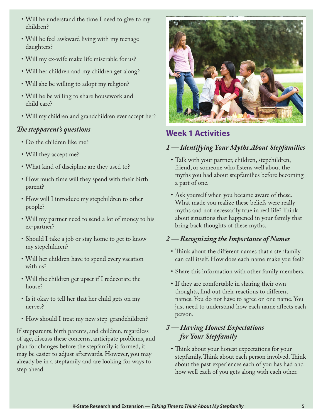- Will he understand the time I need to give to my children?
- Will he feel awkward living with my teenage daughters?
- • Will my ex-wife make life miserable for us?
- • Will her children and my children get along?
- • Will she be willing to adopt my religion?
- • Will he be willing to share housework and child care?
- Will my children and grandchildren ever accept her?

#### *The stepparent's questions*

- Do the children like me?
- Will they accept me?
- What kind of discipline are they used to?
- How much time will they spend with their birth parent?
- How will I introduce my stepchildren to other people?
- • Will my partner need to send a lot of money to his ex-partner?
- Should I take a job or stay home to get to know my stepchildren?
- Will her children have to spend every vacation with us?
- • Will the children get upset if I redecorate the house?
- Is it okay to tell her that her child gets on my nerves?
- How should I treat my new step-grandchildren?

If stepparents, birth parents, and children, regardless of age, discuss these concerns, anticipate problems, and plan for changes before the stepfamily is formed, it may be easier to adjust afterwards. However, you may already be in a stepfamily and are looking for ways to step ahead.



#### **Week 1 Activities**

#### *1 — Identifying Your Myths About Stepfamilies*

- • Talk with your partner, children, stepchildren, friend, or someone who listens well about the myths you had about stepfamilies before becoming a part of one.
- Ask yourself when you became aware of these. What made you realize these beliefs were really myths and not necessarily true in real life? Think about situations that happened in your family that bring back thoughts of these myths.

#### *2 — Recognizing the Importance of Names*

- Think about the different names that a stepfamily can call itself. How does each name make you feel?
- • Share this information with other family members.
- If they are comfortable in sharing their own thoughts, find out their reactions to different names. You do not have to agree on one name. You just need to understand how each name affects each person.

#### *3 — Having Honest Expectations for Your Stepfamily*

• Think about your honest expectations for your stepfamily. Think about each person involved. Think about the past experiences each of you has had and how well each of you gets along with each other.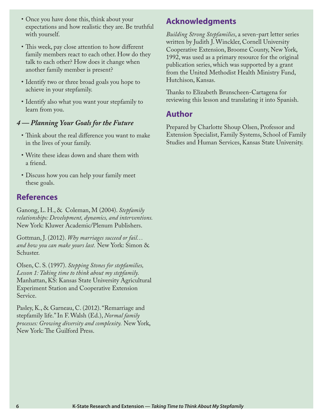- Once you have done this, think about your expectations and how realistic they are. Be truthful with yourself.
- This week, pay close attention to how different family members react to each other. How do they talk to each other? How does it change when another family member is present?
- Identify two or three broad goals you hope to achieve in your stepfamily.
- Identify also what you want your stepfamily to learn from you.

#### *4 — Planning Your Goals for the Future*

- • Think about the real difference you want to make in the lives of your family.
- • Write these ideas down and share them with a friend.
- Discuss how you can help your family meet these goals.

#### **References**

Ganong, L. H., & Coleman, M (2004). *Stepfamily relationships: Development, dynamics, and interventions.* New York: Kluwer Academic/Plenum Publishers.

Gottman, J. (2012). *Why marriages succeed or fail… and how you can make yours last.* New York: Simon & Schuster.

Olsen, C. S. (1997). *Stepping Stones for stepfamilies, Lesson 1: Taking time to think about my stepfamily.*  Manhattan, KS: Kansas State University Agricultural Experiment Station and Cooperative Extension Service.

Pasley, K., & Garneau, C. (2012). "Remarriage and stepfamily life." In F. Walsh (Ed.), *Normal family processes: Growing diversity and complexity.* New York, New York: The Guilford Press.

#### **Acknowledgments**

*Building Strong Stepfamilies*, a seven-part letter series written by Judith J. Winckler, Cornell University Cooperative Extension, Broome County, New York, 1992, was used as a primary resource for the original publication series, which was supported by a grant from the United Methodist Health Ministry Fund, Hutchison, Kansas.

Thanks to Elizabeth Brunscheen-Cartagena for reviewing this lesson and translating it into Spanish.

#### **Author**

Prepared by Charlotte Shoup Olsen, Professor and Extension Specialist, Family Systems, School of Family Studies and Human Services, Kansas State University.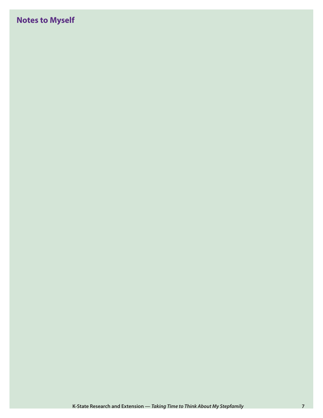## **Notes to Myself**